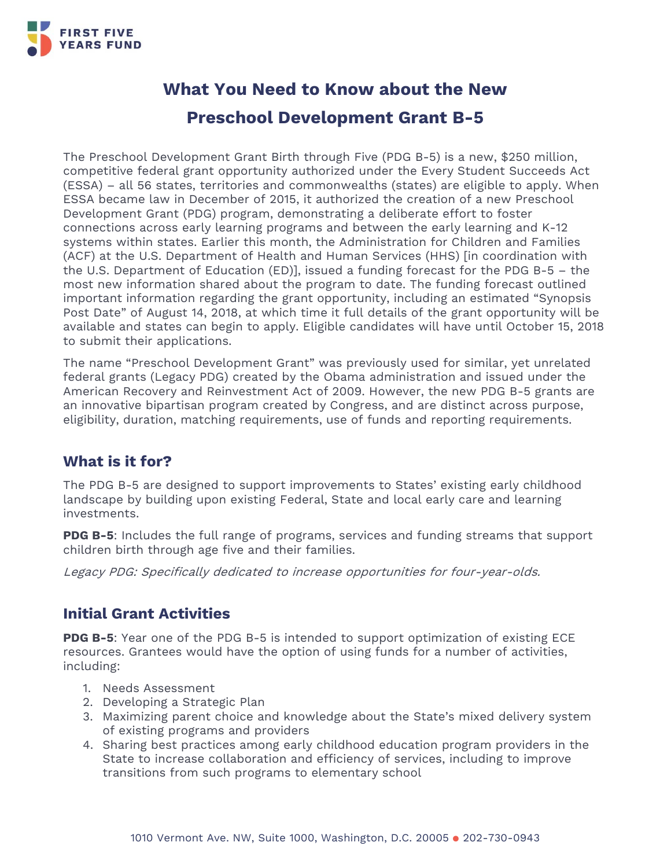

# **What You Need to Know about the New Preschool Development Grant B-5**

The Preschool Development Grant Birth through Five (PDG B-5) is a new, \$250 million, competitive federal grant opportunity authorized under the Every Student Succeeds Act (ESSA) – all 56 states, territories and commonwealths (states) are eligible to apply. When ESSA became law in December of 2015, it authorized the creation of a new Preschool Development Grant (PDG) program, demonstrating a deliberate effort to foster connections across early learning programs and between the early learning and K-12 systems within states. Earlier this month, the Administration for Children and Families (ACF) at the U.S. Department of Health and Human Services (HHS) [in coordination with the U.S. Department of Education (ED)], issued a funding forecast for the PDG B-5 – the most new information shared about the program to date. The funding forecast outlined important information regarding the grant opportunity, including an estimated "Synopsis Post Date" of August 14, 2018, at which time it full details of the grant opportunity will be available and states can begin to apply. Eligible candidates will have until October 15, 2018 to submit their applications.

The name "Preschool Development Grant" was previously used for similar, yet unrelated federal grants (Legacy PDG) created by the Obama administration and issued under the American Recovery and Reinvestment Act of 2009. However, the new PDG B-5 grants are an innovative bipartisan program created by Congress, and are distinct across purpose, eligibility, duration, matching requirements, use of funds and reporting requirements.

### **What is it for?**

The PDG B-5 are designed to support improvements to States' existing early childhood landscape by building upon existing Federal, State and local early care and learning investments.

**PDG B-5**: Includes the full range of programs, services and funding streams that support children birth through age five and their families.

Legacy PDG: Specifically dedicated to increase opportunities for four-year-olds.

### **Initial Grant Activities**

**PDG B-5**: Year one of the PDG B-5 is intended to support optimization of existing ECE resources. Grantees would have the option of using funds for a number of activities, including:

- 1. Needs Assessment
- 2. Developing a Strategic Plan
- 3. Maximizing parent choice and knowledge about the State's mixed delivery system of existing programs and providers
- 4. Sharing best practices among early childhood education program providers in the State to increase collaboration and efficiency of services, including to improve transitions from such programs to elementary school